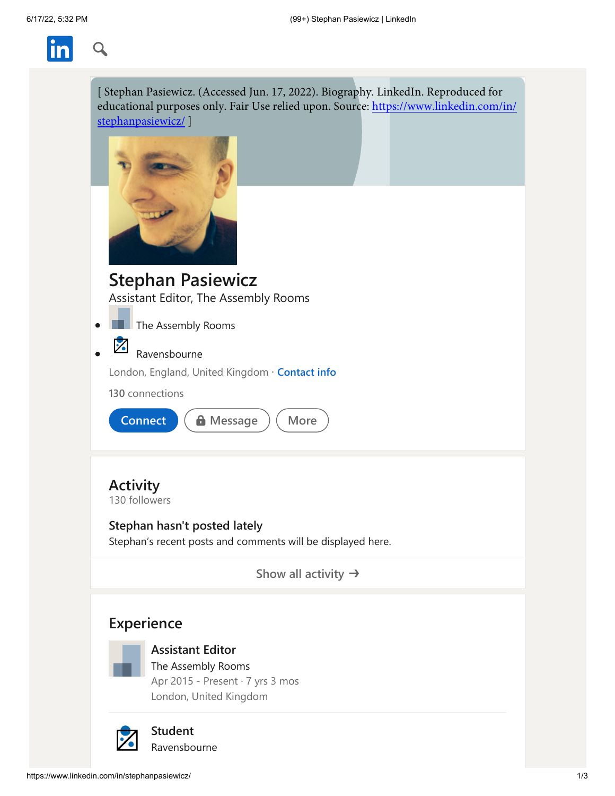

| [ Stephan Pasiewicz. (Accessed Jun. 17, 2022). Biography. LinkedIn. Reproduced for<br>educational purposes only. Fair Use relied upon. Source: https://www.linkedin.com/in/<br>stephanpasiewicz/] |
|---------------------------------------------------------------------------------------------------------------------------------------------------------------------------------------------------|
|                                                                                                                                                                                                   |
| <b>Stephan Pasiewicz</b>                                                                                                                                                                          |
| Assistant Editor, The Assembly Rooms                                                                                                                                                              |
| The Assembly Rooms                                                                                                                                                                                |
|                                                                                                                                                                                                   |
| Ravensbourne                                                                                                                                                                                      |
| London, England, United Kingdom · Contact info                                                                                                                                                    |
| 130 connections                                                                                                                                                                                   |
| <b>Connect</b><br><b>A</b> Message<br>More                                                                                                                                                        |
| <b>Activity</b><br>130 followers<br>Stephan hasn't posted lately<br>Stephan's recent posts and comments will be displayed here.                                                                   |
| Show all activity $\rightarrow$                                                                                                                                                                   |
| <b>Experience</b><br><b>Assistant Editor</b><br>The Assembly Rooms<br>Apr 2015 - Present · 7 yrs 3 mos<br>London, United Kingdom                                                                  |
| <b>Student</b><br>Ravensbourne                                                                                                                                                                    |

<span id="page-0-0"></span>Ravensbourne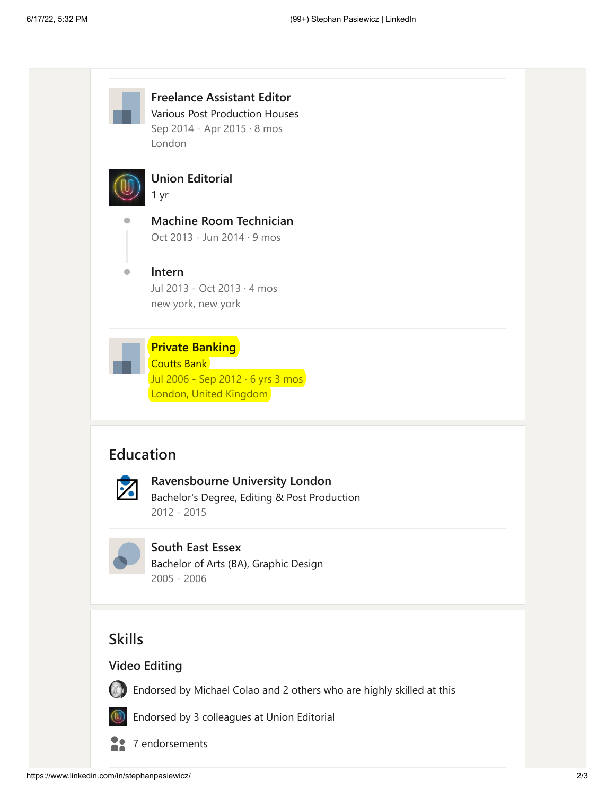

**Freelance Assistant Editor** Various Post Production Houses Sep 2014 - Apr 2015 · 8 mos London



**[Union Editorial](https://www.linkedin.com/company/48064/)** 1 yr

**[Machine Room Technician](https://www.linkedin.com/company/48064/)** Oct 2013 - Jun 2014 · 9 mos

#### $\bullet$ **Intern**

[Jul 2013 - Oct 2013 · 4 mos](https://www.linkedin.com/company/48064/) new york, new york



Coutts Bank Jul 2006 - Sep 2012 · 6 yrs 3 mos London, United Kingdom

## <span id="page-1-0"></span>**Education**



**Ravensbourne University London**

[Bachelor's Degree, Editing & Post Production](https://www.linkedin.com/company/38031/) 2012 - 2015



## **South East Essex**

[Bachelor of Arts \(BA\), Graphic Design](https://www.linkedin.com/search/results/all/?keywords=South+East+Essex) 2005 - 2006

# **Skills**

### **Video Editing**



[Endorsed by Michael Colao and 2 others who are highly skilled at this](https://www.linkedin.com/in/stephanpasiewicz/overlay/urn:li:fsd_skill:(ACoAAAo4ggMBOOOKeDj9rjXfJ3PdmVhmJcX_XcE,10)/endorsers?profileUrn=urn%3Ali%3Afsd_profile%3AACoAAAo4ggMBOOOKeDj9rjXfJ3PdmVhmJcX_XcE&tabIndex=1&modalTabIndex=1)



[Endorsed by 3 colleagues at Union Editorial](https://www.linkedin.com/in/stephanpasiewicz/overlay/urn:li:fsd_skill:(ACoAAAo4ggMBOOOKeDj9rjXfJ3PdmVhmJcX_XcE,10)/endorsers?profileUrn=urn%3Ali%3Afsd_profile%3AACoAAAo4ggMBOOOKeDj9rjXfJ3PdmVhmJcX_XcE&tabIndex=2&modalTabIndex=2)



[7 endorsements](https://www.linkedin.com/in/stephanpasiewicz/details/skills/urn:li:fsd_skill:(ACoAAAo4ggMBOOOKeDj9rjXfJ3PdmVhmJcX_XcE,10)/endorsers?profileUrn=urn%3Ali%3Afsd_profile%3AACoAAAo4ggMBOOOKeDj9rjXfJ3PdmVhmJcX_XcE&tabIndex=0&modalTabIndex=0&detailScreenTabIndex=0)